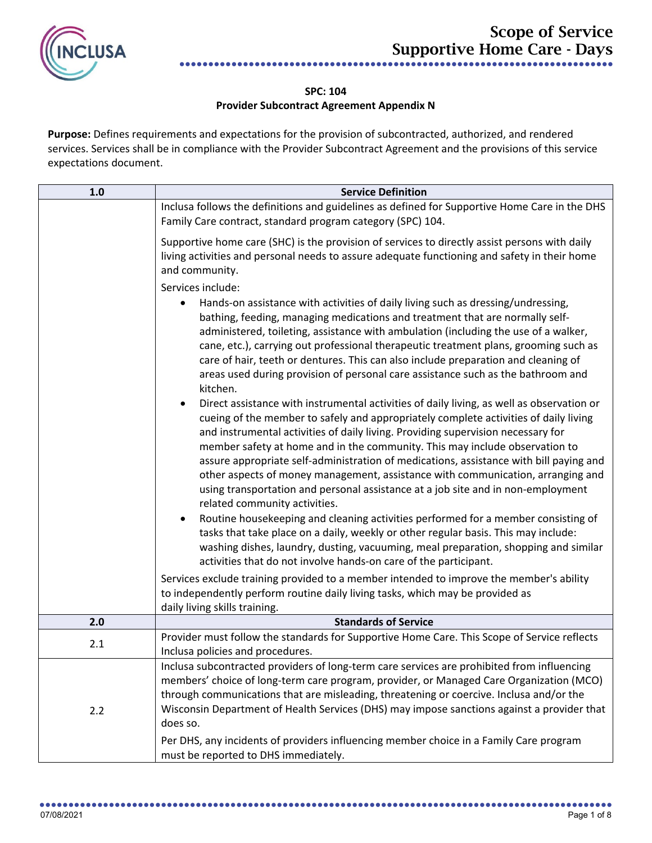

## **SPC: 104**

## **Provider Subcontract Agreement Appendix N**

**Purpose:** Defines requirements and expectations for the provision of subcontracted, authorized, and rendered services. Services shall be in compliance with the Provider Subcontract Agreement and the provisions of this service expectations document.

| 1.0 | <b>Service Definition</b>                                                                                                                                                                                                                                                                                                                                                                                                                                                                                                                                                                                                                                                                                                                                                                                                                                                                                                                                                                                                                                                                                                                                                                                                                                                                                                                                                                                                                                                                                                                                                                                                                                                                                         |
|-----|-------------------------------------------------------------------------------------------------------------------------------------------------------------------------------------------------------------------------------------------------------------------------------------------------------------------------------------------------------------------------------------------------------------------------------------------------------------------------------------------------------------------------------------------------------------------------------------------------------------------------------------------------------------------------------------------------------------------------------------------------------------------------------------------------------------------------------------------------------------------------------------------------------------------------------------------------------------------------------------------------------------------------------------------------------------------------------------------------------------------------------------------------------------------------------------------------------------------------------------------------------------------------------------------------------------------------------------------------------------------------------------------------------------------------------------------------------------------------------------------------------------------------------------------------------------------------------------------------------------------------------------------------------------------------------------------------------------------|
|     | Inclusa follows the definitions and guidelines as defined for Supportive Home Care in the DHS<br>Family Care contract, standard program category (SPC) 104.                                                                                                                                                                                                                                                                                                                                                                                                                                                                                                                                                                                                                                                                                                                                                                                                                                                                                                                                                                                                                                                                                                                                                                                                                                                                                                                                                                                                                                                                                                                                                       |
|     | Supportive home care (SHC) is the provision of services to directly assist persons with daily<br>living activities and personal needs to assure adequate functioning and safety in their home<br>and community.                                                                                                                                                                                                                                                                                                                                                                                                                                                                                                                                                                                                                                                                                                                                                                                                                                                                                                                                                                                                                                                                                                                                                                                                                                                                                                                                                                                                                                                                                                   |
|     | Services include:                                                                                                                                                                                                                                                                                                                                                                                                                                                                                                                                                                                                                                                                                                                                                                                                                                                                                                                                                                                                                                                                                                                                                                                                                                                                                                                                                                                                                                                                                                                                                                                                                                                                                                 |
|     | Hands-on assistance with activities of daily living such as dressing/undressing,<br>bathing, feeding, managing medications and treatment that are normally self-<br>administered, toileting, assistance with ambulation (including the use of a walker,<br>cane, etc.), carrying out professional therapeutic treatment plans, grooming such as<br>care of hair, teeth or dentures. This can also include preparation and cleaning of<br>areas used during provision of personal care assistance such as the bathroom and<br>kitchen.<br>Direct assistance with instrumental activities of daily living, as well as observation or<br>cueing of the member to safely and appropriately complete activities of daily living<br>and instrumental activities of daily living. Providing supervision necessary for<br>member safety at home and in the community. This may include observation to<br>assure appropriate self-administration of medications, assistance with bill paying and<br>other aspects of money management, assistance with communication, arranging and<br>using transportation and personal assistance at a job site and in non-employment<br>related community activities.<br>Routine housekeeping and cleaning activities performed for a member consisting of<br>tasks that take place on a daily, weekly or other regular basis. This may include:<br>washing dishes, laundry, dusting, vacuuming, meal preparation, shopping and similar<br>activities that do not involve hands-on care of the participant.<br>Services exclude training provided to a member intended to improve the member's ability<br>to independently perform routine daily living tasks, which may be provided as |
|     | daily living skills training.                                                                                                                                                                                                                                                                                                                                                                                                                                                                                                                                                                                                                                                                                                                                                                                                                                                                                                                                                                                                                                                                                                                                                                                                                                                                                                                                                                                                                                                                                                                                                                                                                                                                                     |
| 2.0 | <b>Standards of Service</b>                                                                                                                                                                                                                                                                                                                                                                                                                                                                                                                                                                                                                                                                                                                                                                                                                                                                                                                                                                                                                                                                                                                                                                                                                                                                                                                                                                                                                                                                                                                                                                                                                                                                                       |
| 2.1 | Provider must follow the standards for Supportive Home Care. This Scope of Service reflects<br>Inclusa policies and procedures.                                                                                                                                                                                                                                                                                                                                                                                                                                                                                                                                                                                                                                                                                                                                                                                                                                                                                                                                                                                                                                                                                                                                                                                                                                                                                                                                                                                                                                                                                                                                                                                   |
| 2.2 | Inclusa subcontracted providers of long-term care services are prohibited from influencing<br>members' choice of long-term care program, provider, or Managed Care Organization (MCO)<br>through communications that are misleading, threatening or coercive. Inclusa and/or the<br>Wisconsin Department of Health Services (DHS) may impose sanctions against a provider that<br>does so.<br>Per DHS, any incidents of providers influencing member choice in a Family Care program<br>must be reported to DHS immediately.                                                                                                                                                                                                                                                                                                                                                                                                                                                                                                                                                                                                                                                                                                                                                                                                                                                                                                                                                                                                                                                                                                                                                                                      |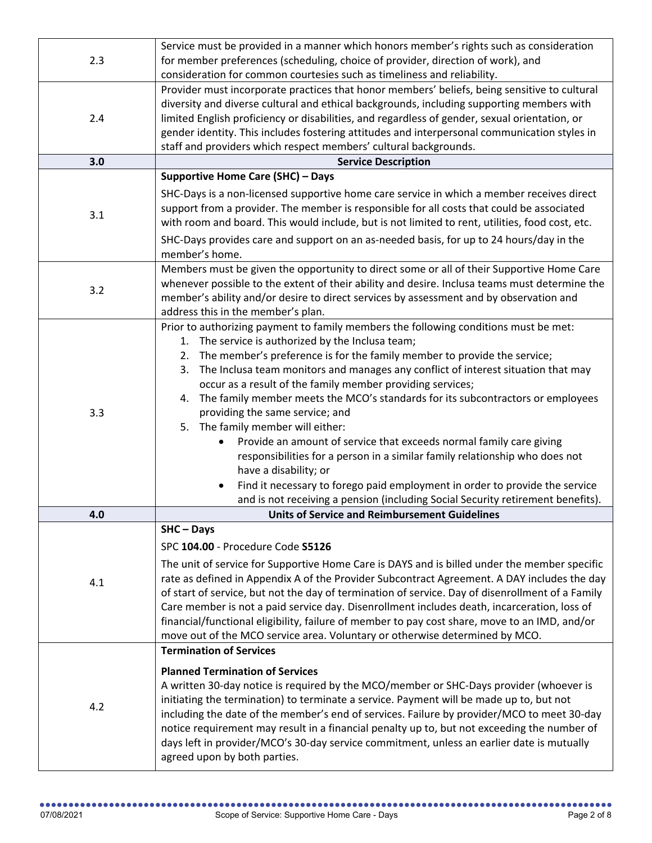| 2.3 | Service must be provided in a manner which honors member's rights such as consideration          |
|-----|--------------------------------------------------------------------------------------------------|
|     | for member preferences (scheduling, choice of provider, direction of work), and                  |
|     | consideration for common courtesies such as timeliness and reliability.                          |
|     | Provider must incorporate practices that honor members' beliefs, being sensitive to cultural     |
|     | diversity and diverse cultural and ethical backgrounds, including supporting members with        |
| 2.4 | limited English proficiency or disabilities, and regardless of gender, sexual orientation, or    |
|     | gender identity. This includes fostering attitudes and interpersonal communication styles in     |
|     |                                                                                                  |
| 3.0 | staff and providers which respect members' cultural backgrounds.                                 |
|     | <b>Service Description</b>                                                                       |
|     | <b>Supportive Home Care (SHC) - Days</b>                                                         |
|     | SHC-Days is a non-licensed supportive home care service in which a member receives direct        |
| 3.1 | support from a provider. The member is responsible for all costs that could be associated        |
|     | with room and board. This would include, but is not limited to rent, utilities, food cost, etc.  |
|     | SHC-Days provides care and support on an as-needed basis, for up to 24 hours/day in the          |
|     | member's home.                                                                                   |
|     | Members must be given the opportunity to direct some or all of their Supportive Home Care        |
|     | whenever possible to the extent of their ability and desire. Inclusa teams must determine the    |
| 3.2 | member's ability and/or desire to direct services by assessment and by observation and           |
|     | address this in the member's plan.                                                               |
|     | Prior to authorizing payment to family members the following conditions must be met:             |
|     | 1. The service is authorized by the Inclusa team;                                                |
|     | 2. The member's preference is for the family member to provide the service;                      |
|     | 3. The Inclusa team monitors and manages any conflict of interest situation that may             |
|     | occur as a result of the family member providing services;                                       |
|     | 4. The family member meets the MCO's standards for its subcontractors or employees               |
| 3.3 | providing the same service; and                                                                  |
|     | 5. The family member will either:                                                                |
|     | Provide an amount of service that exceeds normal family care giving                              |
|     | responsibilities for a person in a similar family relationship who does not                      |
|     | have a disability; or                                                                            |
|     | Find it necessary to forego paid employment in order to provide the service                      |
|     | and is not receiving a pension (including Social Security retirement benefits).                  |
| 4.0 | <b>Units of Service and Reimbursement Guidelines</b>                                             |
|     | $SHC - Days$                                                                                     |
|     |                                                                                                  |
|     | SPC 104.00 - Procedure Code S5126                                                                |
|     | The unit of service for Supportive Home Care is DAYS and is billed under the member specific     |
| 4.1 | rate as defined in Appendix A of the Provider Subcontract Agreement. A DAY includes the day      |
|     | of start of service, but not the day of termination of service. Day of disenrollment of a Family |
|     | Care member is not a paid service day. Disenrollment includes death, incarceration, loss of      |
|     | financial/functional eligibility, failure of member to pay cost share, move to an IMD, and/or    |
|     | move out of the MCO service area. Voluntary or otherwise determined by MCO.                      |
|     | <b>Termination of Services</b>                                                                   |
|     | <b>Planned Termination of Services</b>                                                           |
| 4.2 | A written 30-day notice is required by the MCO/member or SHC-Days provider (whoever is           |
|     | initiating the termination) to terminate a service. Payment will be made up to, but not          |
|     | including the date of the member's end of services. Failure by provider/MCO to meet 30-day       |
|     | notice requirement may result in a financial penalty up to, but not exceeding the number of      |
|     | days left in provider/MCO's 30-day service commitment, unless an earlier date is mutually        |
|     | agreed upon by both parties.                                                                     |
|     |                                                                                                  |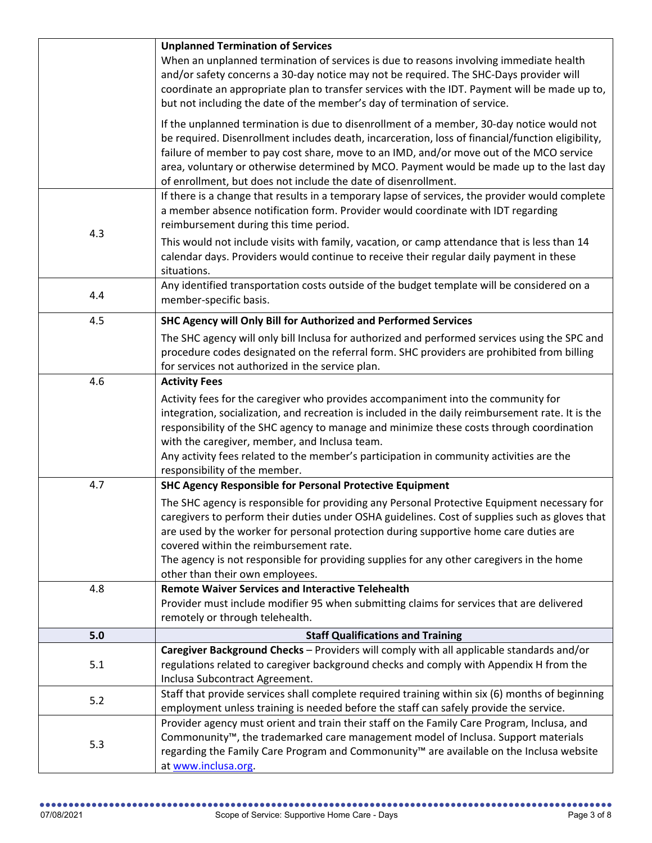|     | <b>Unplanned Termination of Services</b>                                                          |
|-----|---------------------------------------------------------------------------------------------------|
|     | When an unplanned termination of services is due to reasons involving immediate health            |
|     | and/or safety concerns a 30-day notice may not be required. The SHC-Days provider will            |
|     | coordinate an appropriate plan to transfer services with the IDT. Payment will be made up to,     |
|     | but not including the date of the member's day of termination of service.                         |
|     | If the unplanned termination is due to disenrollment of a member, 30-day notice would not         |
|     | be required. Disenrollment includes death, incarceration, loss of financial/function eligibility, |
|     | failure of member to pay cost share, move to an IMD, and/or move out of the MCO service           |
|     | area, voluntary or otherwise determined by MCO. Payment would be made up to the last day          |
|     | of enrollment, but does not include the date of disenrollment.                                    |
|     | If there is a change that results in a temporary lapse of services, the provider would complete   |
|     | a member absence notification form. Provider would coordinate with IDT regarding                  |
|     | reimbursement during this time period.                                                            |
| 4.3 | This would not include visits with family, vacation, or camp attendance that is less than 14      |
|     | calendar days. Providers would continue to receive their regular daily payment in these           |
|     | situations.                                                                                       |
|     | Any identified transportation costs outside of the budget template will be considered on a        |
| 4.4 | member-specific basis.                                                                            |
| 4.5 | SHC Agency will Only Bill for Authorized and Performed Services                                   |
|     | The SHC agency will only bill Inclusa for authorized and performed services using the SPC and     |
|     | procedure codes designated on the referral form. SHC providers are prohibited from billing        |
|     | for services not authorized in the service plan.                                                  |
| 4.6 | <b>Activity Fees</b>                                                                              |
|     | Activity fees for the caregiver who provides accompaniment into the community for                 |
|     | integration, socialization, and recreation is included in the daily reimbursement rate. It is the |
|     | responsibility of the SHC agency to manage and minimize these costs through coordination          |
|     | with the caregiver, member, and Inclusa team.                                                     |
|     | Any activity fees related to the member's participation in community activities are the           |
|     | responsibility of the member.                                                                     |
| 4.7 | <b>SHC Agency Responsible for Personal Protective Equipment</b>                                   |
|     | The SHC agency is responsible for providing any Personal Protective Equipment necessary for       |
|     | caregivers to perform their duties under OSHA guidelines. Cost of supplies such as gloves that    |
|     | are used by the worker for personal protection during supportive home care duties are             |
|     | covered within the reimbursement rate.                                                            |
|     | The agency is not responsible for providing supplies for any other caregivers in the home         |
|     | other than their own employees.                                                                   |
| 4.8 | <b>Remote Waiver Services and Interactive Telehealth</b>                                          |
|     | Provider must include modifier 95 when submitting claims for services that are delivered          |
|     | remotely or through telehealth.                                                                   |
| 5.0 | <b>Staff Qualifications and Training</b>                                                          |
|     | Caregiver Background Checks - Providers will comply with all applicable standards and/or          |
| 5.1 | regulations related to caregiver background checks and comply with Appendix H from the            |
|     | Inclusa Subcontract Agreement.                                                                    |
| 5.2 | Staff that provide services shall complete required training within six (6) months of beginning   |
|     | employment unless training is needed before the staff can safely provide the service.             |
|     | Provider agency must orient and train their staff on the Family Care Program, Inclusa, and        |
| 5.3 | Commonunity <sup>™</sup> , the trademarked care management model of Inclusa. Support materials    |
|     | regarding the Family Care Program and Commonunity™ are available on the Inclusa website           |
|     | at www.inclusa.org.                                                                               |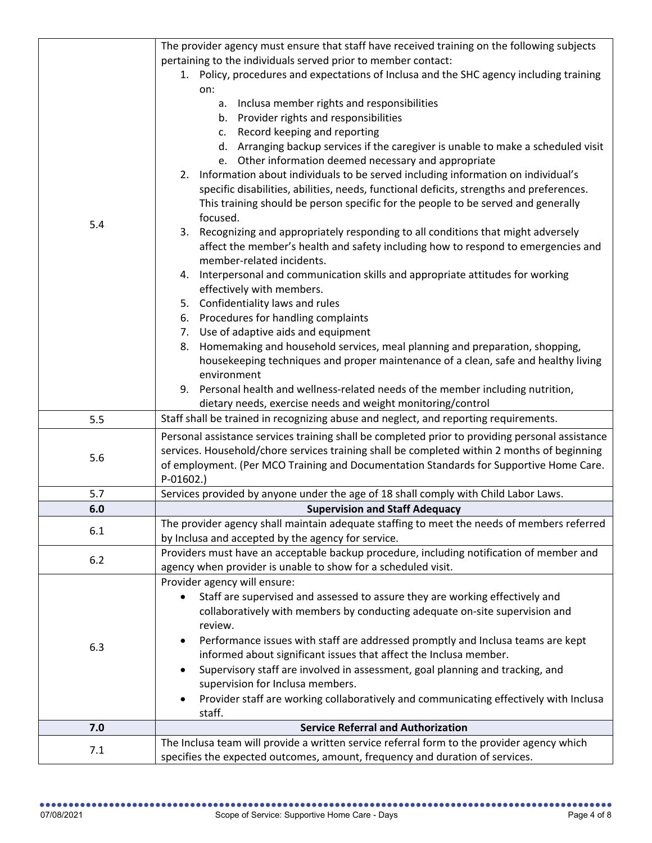|            | The provider agency must ensure that staff have received training on the following subjects                                                                                |
|------------|----------------------------------------------------------------------------------------------------------------------------------------------------------------------------|
|            | pertaining to the individuals served prior to member contact:                                                                                                              |
|            | 1. Policy, procedures and expectations of Inclusa and the SHC agency including training                                                                                    |
|            | on:                                                                                                                                                                        |
|            | a. Inclusa member rights and responsibilities                                                                                                                              |
|            | b. Provider rights and responsibilities                                                                                                                                    |
|            | Record keeping and reporting<br>C.                                                                                                                                         |
|            | d. Arranging backup services if the caregiver is unable to make a scheduled visit                                                                                          |
|            | e. Other information deemed necessary and appropriate                                                                                                                      |
|            | 2. Information about individuals to be served including information on individual's                                                                                        |
|            |                                                                                                                                                                            |
|            | specific disabilities, abilities, needs, functional deficits, strengths and preferences.                                                                                   |
|            | This training should be person specific for the people to be served and generally                                                                                          |
| 5.4        | focused.                                                                                                                                                                   |
|            | 3. Recognizing and appropriately responding to all conditions that might adversely                                                                                         |
|            | affect the member's health and safety including how to respond to emergencies and                                                                                          |
|            | member-related incidents.                                                                                                                                                  |
|            | 4. Interpersonal and communication skills and appropriate attitudes for working                                                                                            |
|            | effectively with members.                                                                                                                                                  |
|            | 5. Confidentiality laws and rules                                                                                                                                          |
|            | 6. Procedures for handling complaints                                                                                                                                      |
|            | 7. Use of adaptive aids and equipment                                                                                                                                      |
|            | Homemaking and household services, meal planning and preparation, shopping,<br>8.                                                                                          |
|            | housekeeping techniques and proper maintenance of a clean, safe and healthy living                                                                                         |
|            | environment                                                                                                                                                                |
|            | 9. Personal health and wellness-related needs of the member including nutrition,                                                                                           |
|            |                                                                                                                                                                            |
|            |                                                                                                                                                                            |
| 5.5        | dietary needs, exercise needs and weight monitoring/control<br>Staff shall be trained in recognizing abuse and neglect, and reporting requirements.                        |
|            |                                                                                                                                                                            |
|            | Personal assistance services training shall be completed prior to providing personal assistance                                                                            |
| 5.6        | services. Household/chore services training shall be completed within 2 months of beginning                                                                                |
|            | of employment. (Per MCO Training and Documentation Standards for Supportive Home Care.                                                                                     |
|            | $P-01602.$                                                                                                                                                                 |
| 5.7<br>6.0 | Services provided by anyone under the age of 18 shall comply with Child Labor Laws.                                                                                        |
|            | <b>Supervision and Staff Adequacy</b>                                                                                                                                      |
| 6.1        | The provider agency shall maintain adequate staffing to meet the needs of members referred                                                                                 |
|            | by Inclusa and accepted by the agency for service.                                                                                                                         |
| 6.2        | Providers must have an acceptable backup procedure, including notification of member and                                                                                   |
|            | agency when provider is unable to show for a scheduled visit.                                                                                                              |
|            | Provider agency will ensure:                                                                                                                                               |
|            | Staff are supervised and assessed to assure they are working effectively and                                                                                               |
|            | collaboratively with members by conducting adequate on-site supervision and                                                                                                |
|            | review.                                                                                                                                                                    |
| 6.3        | Performance issues with staff are addressed promptly and Inclusa teams are kept                                                                                            |
|            | informed about significant issues that affect the Inclusa member.                                                                                                          |
|            | Supervisory staff are involved in assessment, goal planning and tracking, and                                                                                              |
|            | supervision for Inclusa members.                                                                                                                                           |
|            | Provider staff are working collaboratively and communicating effectively with Inclusa<br>$\bullet$                                                                         |
|            | staff.                                                                                                                                                                     |
| 7.0        | <b>Service Referral and Authorization</b>                                                                                                                                  |
| 7.1        | The Inclusa team will provide a written service referral form to the provider agency which<br>specifies the expected outcomes, amount, frequency and duration of services. |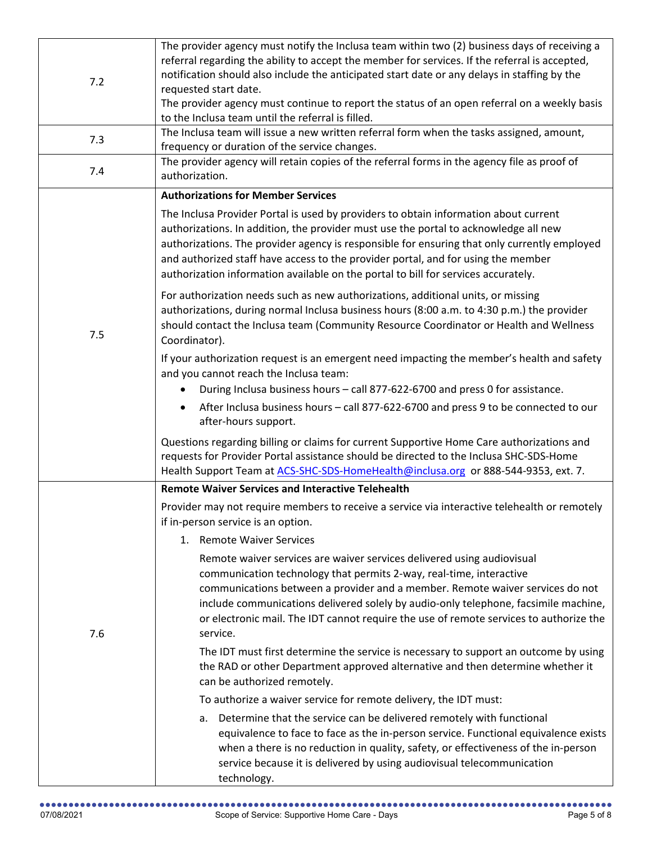| 7.2 | The provider agency must notify the Inclusa team within two (2) business days of receiving a<br>referral regarding the ability to accept the member for services. If the referral is accepted,<br>notification should also include the anticipated start date or any delays in staffing by the<br>requested start date.<br>The provider agency must continue to report the status of an open referral on a weekly basis<br>to the Inclusa team until the referral is filled. |
|-----|------------------------------------------------------------------------------------------------------------------------------------------------------------------------------------------------------------------------------------------------------------------------------------------------------------------------------------------------------------------------------------------------------------------------------------------------------------------------------|
| 7.3 | The Inclusa team will issue a new written referral form when the tasks assigned, amount,<br>frequency or duration of the service changes.                                                                                                                                                                                                                                                                                                                                    |
| 7.4 | The provider agency will retain copies of the referral forms in the agency file as proof of<br>authorization.                                                                                                                                                                                                                                                                                                                                                                |
|     | <b>Authorizations for Member Services</b>                                                                                                                                                                                                                                                                                                                                                                                                                                    |
| 7.5 | The Inclusa Provider Portal is used by providers to obtain information about current<br>authorizations. In addition, the provider must use the portal to acknowledge all new<br>authorizations. The provider agency is responsible for ensuring that only currently employed<br>and authorized staff have access to the provider portal, and for using the member<br>authorization information available on the portal to bill for services accurately.                      |
|     | For authorization needs such as new authorizations, additional units, or missing<br>authorizations, during normal Inclusa business hours (8:00 a.m. to 4:30 p.m.) the provider<br>should contact the Inclusa team (Community Resource Coordinator or Health and Wellness<br>Coordinator).                                                                                                                                                                                    |
|     | If your authorization request is an emergent need impacting the member's health and safety<br>and you cannot reach the Inclusa team:                                                                                                                                                                                                                                                                                                                                         |
|     | During Inclusa business hours - call 877-622-6700 and press 0 for assistance.<br>After Inclusa business hours - call 877-622-6700 and press 9 to be connected to our<br>after-hours support.                                                                                                                                                                                                                                                                                 |
|     | Questions regarding billing or claims for current Supportive Home Care authorizations and<br>requests for Provider Portal assistance should be directed to the Inclusa SHC-SDS-Home<br>Health Support Team at ACS-SHC-SDS-HomeHealth@inclusa.org or 888-544-9353, ext. 7.                                                                                                                                                                                                    |
|     | <b>Remote Waiver Services and Interactive Telehealth</b>                                                                                                                                                                                                                                                                                                                                                                                                                     |
|     | Provider may not require members to receive a service via interactive telehealth or remotely<br>if in-person service is an option.                                                                                                                                                                                                                                                                                                                                           |
|     | 1. Remote Waiver Services                                                                                                                                                                                                                                                                                                                                                                                                                                                    |
| 7.6 | Remote waiver services are waiver services delivered using audiovisual<br>communication technology that permits 2-way, real-time, interactive<br>communications between a provider and a member. Remote waiver services do not<br>include communications delivered solely by audio-only telephone, facsimile machine,<br>or electronic mail. The IDT cannot require the use of remote services to authorize the<br>service.                                                  |
|     | The IDT must first determine the service is necessary to support an outcome by using<br>the RAD or other Department approved alternative and then determine whether it<br>can be authorized remotely.                                                                                                                                                                                                                                                                        |
|     | To authorize a waiver service for remote delivery, the IDT must:                                                                                                                                                                                                                                                                                                                                                                                                             |
|     | Determine that the service can be delivered remotely with functional<br>а.<br>equivalence to face to face as the in-person service. Functional equivalence exists<br>when a there is no reduction in quality, safety, or effectiveness of the in-person<br>service because it is delivered by using audiovisual telecommunication<br>technology.                                                                                                                             |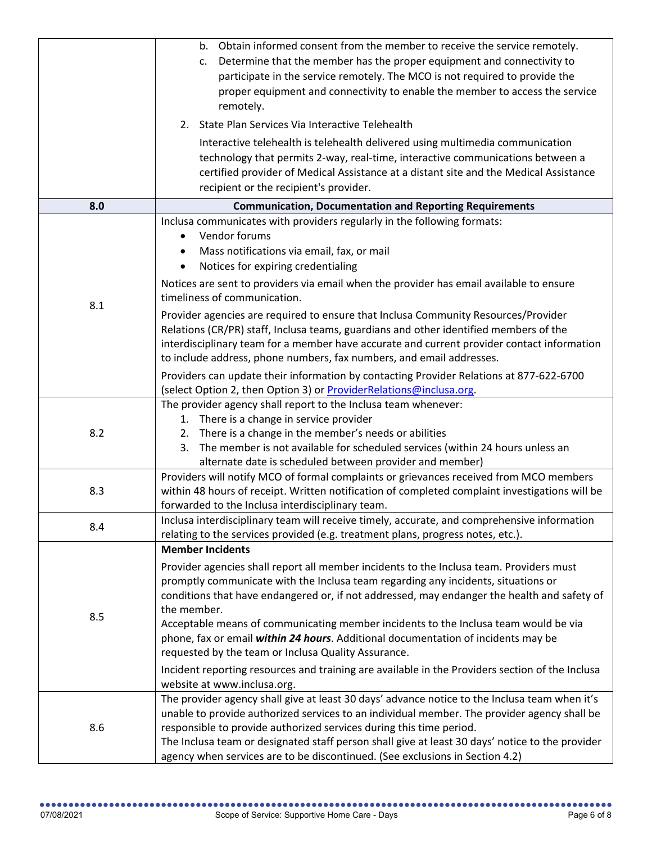|     | b. Obtain informed consent from the member to receive the service remotely.<br>Determine that the member has the proper equipment and connectivity to<br>c.<br>participate in the service remotely. The MCO is not required to provide the<br>proper equipment and connectivity to enable the member to access the service<br>remotely.<br>2. State Plan Services Via Interactive Telehealth<br>Interactive telehealth is telehealth delivered using multimedia communication<br>technology that permits 2-way, real-time, interactive communications between a<br>certified provider of Medical Assistance at a distant site and the Medical Assistance<br>recipient or the recipient's provider. |
|-----|----------------------------------------------------------------------------------------------------------------------------------------------------------------------------------------------------------------------------------------------------------------------------------------------------------------------------------------------------------------------------------------------------------------------------------------------------------------------------------------------------------------------------------------------------------------------------------------------------------------------------------------------------------------------------------------------------|
| 8.0 | <b>Communication, Documentation and Reporting Requirements</b>                                                                                                                                                                                                                                                                                                                                                                                                                                                                                                                                                                                                                                     |
| 8.1 | Inclusa communicates with providers regularly in the following formats:<br>Vendor forums<br>Mass notifications via email, fax, or mail<br>Notices for expiring credentialing<br>Notices are sent to providers via email when the provider has email available to ensure<br>timeliness of communication.                                                                                                                                                                                                                                                                                                                                                                                            |
|     | Provider agencies are required to ensure that Inclusa Community Resources/Provider<br>Relations (CR/PR) staff, Inclusa teams, guardians and other identified members of the<br>interdisciplinary team for a member have accurate and current provider contact information<br>to include address, phone numbers, fax numbers, and email addresses.<br>Providers can update their information by contacting Provider Relations at 877-622-6700                                                                                                                                                                                                                                                       |
|     | (select Option 2, then Option 3) or ProviderRelations@inclusa.org.                                                                                                                                                                                                                                                                                                                                                                                                                                                                                                                                                                                                                                 |
| 8.2 | The provider agency shall report to the Inclusa team whenever:<br>1. There is a change in service provider<br>There is a change in the member's needs or abilities<br>2.<br>The member is not available for scheduled services (within 24 hours unless an<br>3.<br>alternate date is scheduled between provider and member)                                                                                                                                                                                                                                                                                                                                                                        |
| 8.3 | Providers will notify MCO of formal complaints or grievances received from MCO members<br>within 48 hours of receipt. Written notification of completed complaint investigations will be<br>forwarded to the Inclusa interdisciplinary team.                                                                                                                                                                                                                                                                                                                                                                                                                                                       |
| 8.4 | Inclusa interdisciplinary team will receive timely, accurate, and comprehensive information<br>relating to the services provided (e.g. treatment plans, progress notes, etc.).                                                                                                                                                                                                                                                                                                                                                                                                                                                                                                                     |
| 8.5 | <b>Member Incidents</b><br>Provider agencies shall report all member incidents to the Inclusa team. Providers must<br>promptly communicate with the Inclusa team regarding any incidents, situations or<br>conditions that have endangered or, if not addressed, may endanger the health and safety of<br>the member.<br>Acceptable means of communicating member incidents to the Inclusa team would be via<br>phone, fax or email within 24 hours. Additional documentation of incidents may be<br>requested by the team or Inclusa Quality Assurance.<br>Incident reporting resources and training are available in the Providers section of the Inclusa<br>website at www.inclusa.org.         |
| 8.6 | The provider agency shall give at least 30 days' advance notice to the Inclusa team when it's<br>unable to provide authorized services to an individual member. The provider agency shall be<br>responsible to provide authorized services during this time period.<br>The Inclusa team or designated staff person shall give at least 30 days' notice to the provider<br>agency when services are to be discontinued. (See exclusions in Section 4.2)                                                                                                                                                                                                                                             |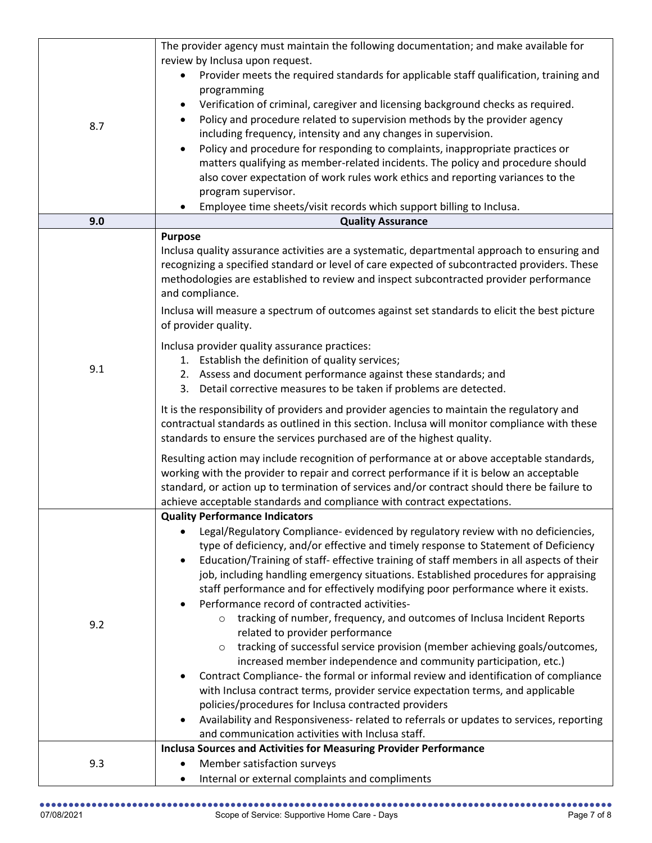|     | The provider agency must maintain the following documentation; and make available for                                             |
|-----|-----------------------------------------------------------------------------------------------------------------------------------|
|     | review by Inclusa upon request.                                                                                                   |
|     | Provider meets the required standards for applicable staff qualification, training and                                            |
|     | programming                                                                                                                       |
|     | Verification of criminal, caregiver and licensing background checks as required.                                                  |
|     | Policy and procedure related to supervision methods by the provider agency                                                        |
| 8.7 | including frequency, intensity and any changes in supervision.                                                                    |
|     | Policy and procedure for responding to complaints, inappropriate practices or<br>$\bullet$                                        |
|     | matters qualifying as member-related incidents. The policy and procedure should                                                   |
|     | also cover expectation of work rules work ethics and reporting variances to the                                                   |
|     | program supervisor.                                                                                                               |
|     | Employee time sheets/visit records which support billing to Inclusa.                                                              |
| 9.0 | <b>Quality Assurance</b>                                                                                                          |
|     | <b>Purpose</b>                                                                                                                    |
|     | Inclusa quality assurance activities are a systematic, departmental approach to ensuring and                                      |
|     | recognizing a specified standard or level of care expected of subcontracted providers. These                                      |
|     | methodologies are established to review and inspect subcontracted provider performance                                            |
|     | and compliance.                                                                                                                   |
|     | Inclusa will measure a spectrum of outcomes against set standards to elicit the best picture                                      |
|     | of provider quality.                                                                                                              |
|     | Inclusa provider quality assurance practices:                                                                                     |
|     | 1. Establish the definition of quality services;                                                                                  |
| 9.1 | 2. Assess and document performance against these standards; and                                                                   |
|     | 3. Detail corrective measures to be taken if problems are detected.                                                               |
|     | It is the responsibility of providers and provider agencies to maintain the regulatory and                                        |
|     | contractual standards as outlined in this section. Inclusa will monitor compliance with these                                     |
|     | standards to ensure the services purchased are of the highest quality.                                                            |
|     | Resulting action may include recognition of performance at or above acceptable standards,                                         |
|     | working with the provider to repair and correct performance if it is below an acceptable                                          |
|     | standard, or action up to termination of services and/or contract should there be failure to                                      |
|     | achieve acceptable standards and compliance with contract expectations.                                                           |
|     | <b>Quality Performance Indicators</b>                                                                                             |
|     | Legal/Regulatory Compliance- evidenced by regulatory review with no deficiencies,                                                 |
|     | type of deficiency, and/or effective and timely response to Statement of Deficiency                                               |
|     | Education/Training of staff- effective training of staff members in all aspects of their<br>$\bullet$                             |
|     | job, including handling emergency situations. Established procedures for appraising                                               |
|     | staff performance and for effectively modifying poor performance where it exists.<br>Performance record of contracted activities- |
|     | tracking of number, frequency, and outcomes of Inclusa Incident Reports<br>$\circ$                                                |
| 9.2 | related to provider performance                                                                                                   |
|     | tracking of successful service provision (member achieving goals/outcomes,<br>$\circ$                                             |
|     | increased member independence and community participation, etc.)                                                                  |
|     | Contract Compliance- the formal or informal review and identification of compliance<br>$\bullet$                                  |
|     | with Inclusa contract terms, provider service expectation terms, and applicable                                                   |
|     | policies/procedures for Inclusa contracted providers                                                                              |
|     | Availability and Responsiveness- related to referrals or updates to services, reporting                                           |
|     | and communication activities with Inclusa staff.                                                                                  |
|     | <b>Inclusa Sources and Activities for Measuring Provider Performance</b>                                                          |
| 9.3 | Member satisfaction surveys                                                                                                       |
|     | Internal or external complaints and compliments                                                                                   |